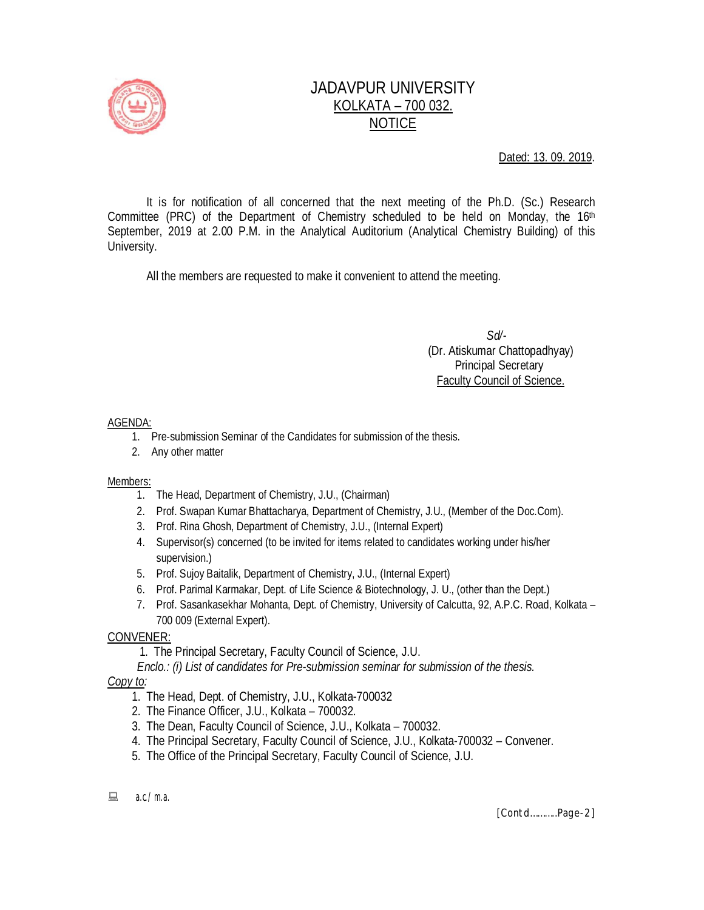

# JADAVPUR UNIVERSITY KOLKATA – 700 032. NOTICE

Dated: 13. 09. 2019.

It is for notification of all concerned that the next meeting of the Ph.D. (Sc.) Research Committee (PRC) of the Department of Chemistry scheduled to be held on Monday, the  $16<sup>th</sup>$ September, 2019 at 2.00 P.M. in the Analytical Auditorium (Analytical Chemistry Building) of this University.

All the members are requested to make it convenient to attend the meeting.

 *Sd/-*  (Dr. Atiskumar Chattopadhyay) Principal Secretary Faculty Council of Science.

### AGENDA:

- 1. Pre-submission Seminar of the Candidates for submission of the thesis.
- 2. Any other matter

#### Members:

- 1. The Head, Department of Chemistry, J.U., (Chairman)
- 2. Prof. Swapan Kumar Bhattacharya, Department of Chemistry, J.U., (Member of the Doc.Com).
- 3. Prof. Rina Ghosh, Department of Chemistry, J.U., (Internal Expert)
- 4. Supervisor(s) concerned (to be invited for items related to candidates working under his/her supervision.)
- 5. Prof. Sujoy Baitalik, Department of Chemistry, J.U., (Internal Expert)
- 6. Prof. Parimal Karmakar, Dept. of Life Science & Biotechnology, J. U., (other than the Dept.)
- 7. Prof. Sasankasekhar Mohanta, Dept. of Chemistry, University of Calcutta, 92, A.P.C. Road, Kolkata 700 009 (External Expert).

## CONVENER:

- 1. The Principal Secretary, Faculty Council of Science, J.U.
- *Enclo.: (i) List of candidates for Pre-submission seminar for submission of the thesis.*

*Copy to:* 

- 1. The Head, Dept. of Chemistry, J.U., Kolkata-700032
- 2. The Finance Officer, J.U., Kolkata 700032.
- 3. The Dean, Faculty Council of Science, J.U., Kolkata 700032.
- 4. The Principal Secretary, Faculty Council of Science, J.U., Kolkata-700032 Convener.
- 5. The Office of the Principal Secretary, Faculty Council of Science, J.U.
- $a.c./m.a.$

*[Contd………..Page-2]*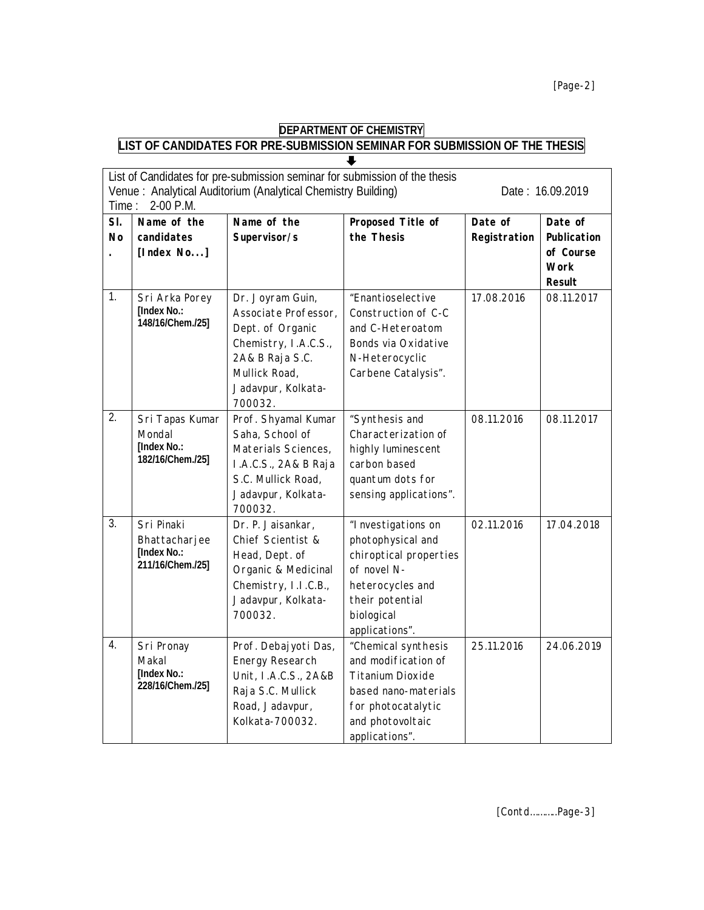#### **DEPARTMENT OF CHEMISTRY LIST OF CANDIDATES FOR PRE-SUBMISSION SEMINAR FOR SUBMISSION OF THE THESIS**  $\overline{\bullet}$

| Time:          | List of Candidates for pre-submission seminar for submission of the thesis<br>Venue: Analytical Auditorium (Analytical Chemistry Building)<br>2-00 P.M. | Date: 16.09.2019                                                                                                                                          |                                                                                                                                                           |                         |                                                                     |
|----------------|---------------------------------------------------------------------------------------------------------------------------------------------------------|-----------------------------------------------------------------------------------------------------------------------------------------------------------|-----------------------------------------------------------------------------------------------------------------------------------------------------------|-------------------------|---------------------------------------------------------------------|
| SI.<br>No      | Name of the<br>candidates<br>[Index $No$ ]                                                                                                              | Name of the<br>Supervisor/s                                                                                                                               | Proposed Title of<br>the Thesis                                                                                                                           | Date of<br>Registration | Date of<br>Publication<br>of Course<br><b>Work</b><br><b>Result</b> |
| $\mathbf{1}$ . | Sri Arka Porey<br>[Index No.:<br>148/16/Chem./25]                                                                                                       | Dr. Joyram Guin,<br>Associate Professor,<br>Dept. of Organic<br>Chemistry, I.A.C.S.,<br>2A& B Raja S.C.<br>Mullick Road,<br>Jadavpur, Kolkata-<br>700032. | "Enantioselective<br>Construction of C-C<br>and C-Heteroatom<br>Bonds via Oxidative<br>N-Heterocyclic<br>Carbene Catalysis".                              | 17.08.2016              | 08.11.2017                                                          |
| 2.             | Sri Tapas Kumar<br>Mondal<br>[Index No.:<br>182/16/Chem./25]                                                                                            | Prof. Shyamal Kumar<br>Saha, School of<br>Materials Sciences,<br>I.A.C.S., 2A& B Raja<br>S.C. Mullick Road,<br>Jadavpur, Kolkata-<br>700032.              | "Synthesis and<br>Characterization of<br>highly luminescent<br>carbon based<br>quantum dots for<br>sensing applications".                                 | 08.11.2016              | 08.11.2017                                                          |
| 3.             | Sri Pinaki<br>Bhattacharjee<br>[Index No.:<br>211/16/Chem./25]                                                                                          | Dr. P. Jaisankar,<br>Chief Scientist &<br>Head, Dept. of<br>Organic & Medicinal<br>Chemistry, I.I.C.B.,<br>Jadavpur, Kolkata-<br>700032.                  | "I nvestigations on<br>photophysical and<br>chiroptical properties<br>of novel N-<br>heterocycles and<br>their potential<br>biological<br>applications".  | 02.11.2016              | 17.04.2018                                                          |
| 4.             | Sri Pronay<br>Makal<br>[Index No.:<br>228/16/Chem./25]                                                                                                  | Prof. Debajyoti Das,<br>Energy Research<br>Unit, I.A.C.S., 2A&B<br>Raja S.C. Mullick<br>Road, Jadavpur,<br>Kolkata-700032.                                | "Chemical synthesis<br>and modification of<br><b>Titanium Dioxide</b><br>based nano-materials<br>for photocatalytic<br>and photovoltaic<br>applications". | 25.11.2016              | 24.06.2019                                                          |

*[Contd………..Page-3]*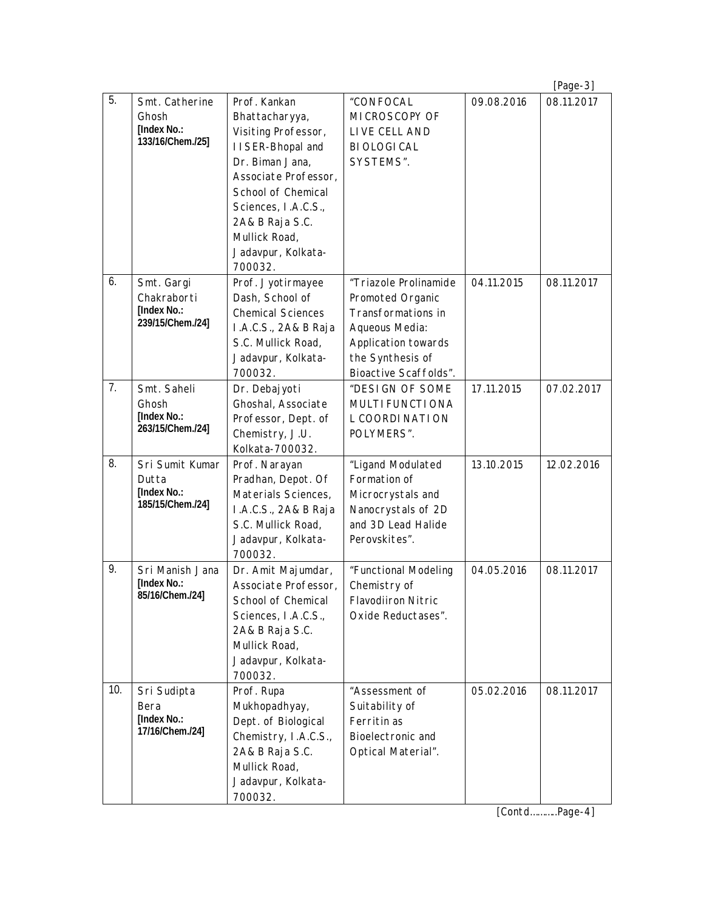|     |                                                                     |                                                                                                                                                                                                                                          |                                                                                                                                                       |            | $[Page-3]$ |
|-----|---------------------------------------------------------------------|------------------------------------------------------------------------------------------------------------------------------------------------------------------------------------------------------------------------------------------|-------------------------------------------------------------------------------------------------------------------------------------------------------|------------|------------|
| 5.  | Smt. Catherine<br>Ghosh<br>[Index No.:<br>133/16/Chem./25]          | Prof. Kankan<br>Bhattacharyya,<br>Visiting Professor,<br>I I SER-Bhopal and<br>Dr. Biman Jana,<br>Associate Professor,<br>School of Chemical<br>Sciences, I.A.C.S.,<br>2A& B Raja S.C.<br>Mullick Road,<br>Jadavpur, Kolkata-<br>700032. | "CONFOCAL<br>MICROSCOPY OF<br>LIVE CELL AND<br><b>BIOLOGICAL</b><br>SYSTEMS".                                                                         | 09.08.2016 | 08.11.2017 |
| 6.  | Smt. Gargi<br>Chakraborti<br><b>[Index No.:</b><br>239/15/Chem./24] | Prof. Jyotirmayee<br>Dash, School of<br><b>Chemical Sciences</b><br>I.A.C.S., 2A& B Raja<br>S.C. Mullick Road,<br>Jadavpur, Kolkata-<br>700032.                                                                                          | "Triazole Prolinamide<br>Promoted Organic<br>Transformations in<br>Aqueous Media:<br>Application towards<br>the Synthesis of<br>Bioactive Scaffolds". | 04.11.2015 | 08.11.2017 |
| 7.  | Smt. Saheli<br>Ghosh<br>[Index No.:<br>263/15/Chem./24]             | Dr. Debajyoti<br>Ghoshal, Associate<br>Professor, Dept. of<br>Chemistry, J.U.<br>Kolkata-700032.                                                                                                                                         | "DESIGN OF SOME<br>MULTI FUNCTI ONA<br>L COORDI NATION<br>POLYMERS".                                                                                  | 17.11.2015 | 07.02.2017 |
| 8.  | Sri Sumit Kumar<br>Dutta<br>[Index No.:<br>185/15/Chem./24]         | Prof. Narayan<br>Pradhan, Depot. Of<br>Materials Sciences,<br>I.A.C.S., 2A& B Raja<br>S.C. Mullick Road,<br>Jadavpur, Kolkata-<br>700032.                                                                                                | "Ligand Modulated<br>Formation of<br>Microcrystals and<br>Nanocrystals of 2D<br>and 3D Lead Halide<br>Perovskites".                                   | 13.10.2015 | 12.02.2016 |
| 9.  | Sri Manish Jana<br><b>IIndex No.:</b><br>85/16/Chem./24]            | Dr. Amit Majumdar,<br>Associate Professor,<br>School of Chemical<br>Sciences, I.A.C.S.,<br>2A& B Raja S.C.<br>Mullick Road,<br>Jadavpur, Kolkata-<br>700032.                                                                             | "Functional Modeling<br>Chemistry of<br><b>Flavodiiron Nitric</b><br>Oxide Reductases".                                                               | 04.05.2016 | 08.11.2017 |
| 10. | Sri Sudipta<br>Bera<br>[Index No.:<br>17/16/Chem./24]               | Prof. Rupa<br>Mukhopadhyay,<br>Dept. of Biological<br>Chemistry, I.A.C.S.,<br>2A& B Raja S.C.<br>Mullick Road,<br>Jadavpur, Kolkata-<br>700032.                                                                                          | "Assessment of<br>Suitability of<br>Ferritin as<br>Bioelectronic and<br>Optical Material".                                                            | 05.02.2016 | 08.11.2017 |

*[Contd………..Page-4]*